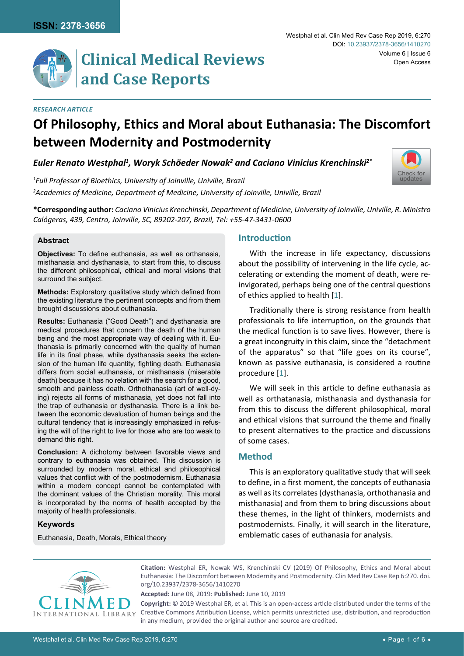## *Research Article*

# **Of Philosophy, Ethics and Moral about Euthanasia: The Discomfort between Modernity and Postmodernity**

*Euler Renato Westphal1 , Woryk Schöeder Nowak2 and Caciano Vinicius Krenchinski2\**

*1 Full Professor of Bioethics, University of Joinville, Univille, Brazil 2 Academics of Medicine, Department of Medicine, University of Joinville, Univille, Brazil*

**\*Corresponding author:** *Caciano Vinicius Krenchinski, Department of Medicine, University of Joinville, Univille, R. Ministro Calógeras, 439, Centro, Joinville, SC, 89202-207, Brazil, Tel: +55-47-3431-0600*

#### **Abstract**

**Objectives:** To define euthanasia, as well as orthanasia, misthanasia and dysthanasia, to start from this, to discuss the different philosophical, ethical and moral visions that surround the subject.

**and Case Reports**

**Methods:** Exploratory qualitative study which defined from the existing literature the pertinent concepts and from them brought discussions about euthanasia.

**Results:** Euthanasia ("Good Death") and dysthanasia are medical procedures that concern the death of the human being and the most appropriate way of dealing with it. Euthanasia is primarily concerned with the quality of human life in its final phase, while dysthanasia seeks the extension of the human life quantity, fighting death. Euthanasia differs from social euthanasia, or misthanasia (miserable death) because it has no relation with the search for a good, smooth and painless death. Orthothanasia (art of well-dying) rejects all forms of misthanasia, yet does not fall into the trap of euthanasia or dysthanasia. There is a link between the economic devaluation of human beings and the cultural tendency that is increasingly emphasized in refusing the will of the right to live for those who are too weak to demand this right.

**Conclusion:** A dichotomy between favorable views and contrary to euthanasia was obtained. This discussion is surrounded by modern moral, ethical and philosophical values that conflict with of the postmodernism. Euthanasia within a modern concept cannot be contemplated with the dominant values of the Christian morality. This moral is incorporated by the norms of health accepted by the majority of health professionals.

## **Keywords**

Euthanasia, Death, Morals, Ethical theory

## **Introduction**

With the increase in life expectancy, discussions about the possibility of intervening in the life cycle, accelerating or extending the moment of death, were reinvigorated, perhaps being one of the central questions of ethics applied to health [[1](#page-4-0)].

Traditionally there is strong resistance from health professionals to life interruption, on the grounds that the medical function is to save lives. However, there is a great incongruity in this claim, since the "detachment of the apparatus" so that "life goes on its course", known as passive euthanasia, is considered a routine procedure [\[1\]](#page-4-0).

We will seek in this article to define euthanasia as well as orthatanasia, misthanasia and dysthanasia for from this to discuss the different philosophical, moral and ethical visions that surround the theme and finally to present alternatives to the practice and discussions of some cases.

## **Method**

This is an exploratory qualitative study that will seek to define, in a first moment, the concepts of euthanasia as well as its correlates (dysthanasia, orthothanasia and misthanasia) and from them to bring discussions about these themes, in the light of thinkers, modernists and postmodernists. Finally, it will search in the literature, emblematic cases of euthanasia for analysis.



**Citation:** Westphal ER, Nowak WS, Krenchinski CV (2019) Of Philosophy, Ethics and Moral about Euthanasia: The Discomfort between Modernity and Postmodernity. Clin Med Rev Case Rep 6:270. [doi.](https://doi.org/10.23937/2378-3656/1410270) [org/10.23937/2378-3656/1410270](https://doi.org/10.23937/2378-3656/1410270)

**Accepted:** June 08, 2019: **Published:** June 10, 2019

**Copyright:** © 2019 Westphal ER, et al. This is an open-access article distributed under the terms of the Creative Commons Attribution License, which permits unrestricted use, distribution, and reproduction in any medium, provided the original author and source are credited.

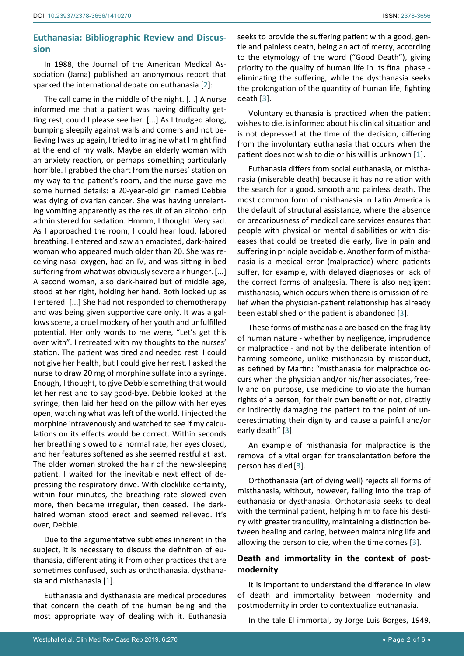## **Euthanasia: Bibliographic Review and Discussion**

In 1988, the Journal of the American Medical Association (Jama) published an anonymous report that sparked the international debate on euthanasia [[2\]](#page-4-2):

The call came in the middle of the night. [...] A nurse informed me that a patient was having difficulty getting rest, could I please see her. [...] As I trudged along, bumping sleepily against walls and corners and not believing I was up again, I tried to imagine what I might find at the end of my walk. Maybe an elderly woman with an anxiety reaction, or perhaps something particularly horrible. I grabbed the chart from the nurses' station on my way to the patient's room, and the nurse gave me some hurried details: a 20-year-old girl named Debbie was dying of ovarian cancer. She was having unrelenting vomiting apparently as the result of an alcohol drip administered for sedation. Hmmm, I thought. Very sad. As I approached the room, I could hear loud, labored breathing. I entered and saw an emaciated, dark-haired woman who appeared much older than 20. She was receiving nasal oxygen, had an IV, and was sitting in bed suffering from what was obviously severe air hunger. [...] A second woman, also dark-haired but of middle age, stood at her right, holding her hand. Both looked up as I entered. [...] She had not responded to chemotherapy and was being given supportive care only. It was a gallows scene, a cruel mockery of her youth and unfulfilled potential. Her only words to me were, "Let's get this over with". I retreated with my thoughts to the nurses' station. The patient was tired and needed rest. I could not give her health, but I could give her rest. I asked the nurse to draw 20 mg of morphine sulfate into a syringe. Enough, I thought, to give Debbie something that would let her rest and to say good-bye. Debbie looked at the syringe, then laid her head on the pillow with her eyes open, watching what was left of the world. I injected the morphine intravenously and watched to see if my calculations on its effects would be correct. Within seconds her breathing slowed to a normal rate, her eyes closed, and her features softened as she seemed restful at last. The older woman stroked the hair of the new-sleeping patient. I waited for the inevitable next effect of depressing the respiratory drive. With clocklike certainty, within four minutes, the breathing rate slowed even more, then became irregular, then ceased. The darkhaired woman stood erect and seemed relieved. It's over, Debbie.

Due to the argumentative subtleties inherent in the subject, it is necessary to discuss the definition of euthanasia, differentiating it from other practices that are sometimes confused, such as orthothanasia, dysthanasia and misthanasia [[1](#page-4-0)].

Euthanasia and dysthanasia are medical procedures that concern the death of the human being and the most appropriate way of dealing with it. Euthanasia seeks to provide the suffering patient with a good, gentle and painless death, being an act of mercy, according to the etymology of the word ("Good Death"), giving priority to the quality of human life in its final phase eliminating the suffering, while the dysthanasia seeks the prolongation of the quantity of human life, fighting death [[3](#page-4-1)].

Voluntary euthanasia is practiced when the patient wishes to die, is informed about his clinical situation and is not depressed at the time of the decision, differing from the involuntary euthanasia that occurs when the patient does not wish to die or his will is unknown [[1\]](#page-4-0).

Euthanasia differs from social euthanasia, or misthanasia (miserable death) because it has no relation with the search for a good, smooth and painless death. The most common form of misthanasia in Latin America is the default of structural assistance, where the absence or precariousness of medical care services ensures that people with physical or mental disabilities or with diseases that could be treated die early, live in pain and suffering in principle avoidable. Another form of misthanasia is a medical error (malpractice) where patients suffer, for example, with delayed diagnoses or lack of the correct forms of analgesia. There is also negligent misthanasia, which occurs when there is omission of relief when the physician-patient relationship has already been established or the patient is abandoned [[3\]](#page-4-1).

These forms of misthanasia are based on the fragility of human nature - whether by negligence, imprudence or malpractice - and not by the deliberate intention of harming someone, unlike misthanasia by misconduct, as defined by Martin: "misthanasia for malpractice occurs when the physician and/or his/her associates, freely and on purpose, use medicine to violate the human rights of a person, for their own benefit or not, directly or indirectly damaging the patient to the point of underestimating their dignity and cause a painful and/or early death" [[3](#page-4-1)].

An example of misthanasia for malpractice is the removal of a vital organ for transplantation before the person has died [\[3\]](#page-4-1).

Orthothanasia (art of dying well) rejects all forms of misthanasia, without, however, falling into the trap of euthanasia or dysthanasia. Orthotanasia seeks to deal with the terminal patient, helping him to face his destiny with greater tranquility, maintaining a distinction between healing and caring, between maintaining life and allowing the person to die, when the time comes [[3\]](#page-4-1).

## **Death and immortality in the context of postmodernity**

It is important to understand the difference in view of death and immortality between modernity and postmodernity in order to contextualize euthanasia.

In the tale El immortal, by Jorge Luis Borges, 1949,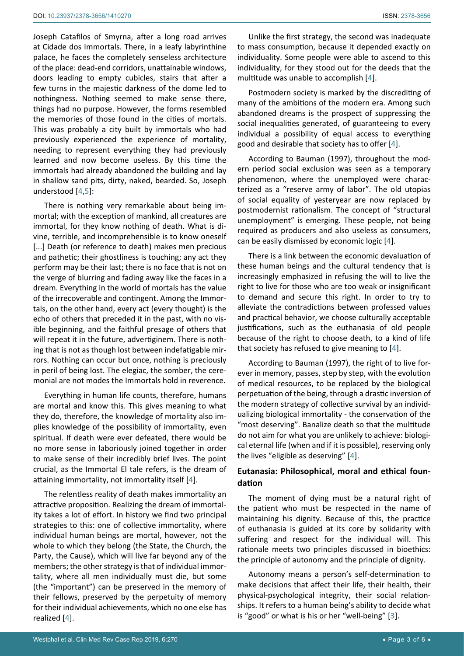Joseph Catafilos of Smyrna, after a long road arrives at Cidade dos Immortals. There, in a leafy labyrinthine palace, he faces the completely senseless architecture of the place: dead-end corridors, unattainable windows, doors leading to empty cubicles, stairs that after a few turns in the majestic darkness of the dome led to nothingness. Nothing seemed to make sense there, things had no purpose. However, the forms resembled the memories of those found in the cities of mortals. This was probably a city built by immortals who had previously experienced the experience of mortality, needing to represent everything they had previously learned and now become useless. By this time the immortals had already abandoned the building and lay in shallow sand pits, dirty, naked, bearded. So, Joseph understood [\[4,](#page-5-0)[5](#page-5-1)]:

There is nothing very remarkable about being immortal; with the exception of mankind, all creatures are immortal, for they know nothing of death. What is divine, terrible, and incomprehensible is to know oneself [...] Death (or reference to death) makes men precious and pathetic; their ghostliness is touching; any act they perform may be their last; there is no face that is not on the verge of blurring and fading away like the faces in a dream. Everything in the world of mortals has the value of the irrecoverable and contingent. Among the Immortals, on the other hand, every act (every thought) is the echo of others that preceded it in the past, with no visible beginning, and the faithful presage of others that will repeat it in the future, advertiginem. There is nothing that is not as though lost between indefatigable mirrors. Nothing can occur but once, nothing is preciously in peril of being lost. The elegiac, the somber, the ceremonial are not modes the Immortals hold in reverence.

Everything in human life counts, therefore, humans are mortal and know this. This gives meaning to what they do, therefore, the knowledge of mortality also implies knowledge of the possibility of immortality, even spiritual. If death were ever defeated, there would be no more sense in laboriously joined together in order to make sense of their incredibly brief lives. The point crucial, as the Immortal El tale refers, is the dream of attaining immortality, not immortality itself [[4\]](#page-5-0).

The relentless reality of death makes immortality an attractive proposition. Realizing the dream of immortality takes a lot of effort. In history we find two principal strategies to this: one of collective immortality, where individual human beings are mortal, however, not the whole to which they belong (the State, the Church, the Party, the Cause), which will live far beyond any of the members; the other strategy is that of individual immortality, where all men individually must die, but some (the "important") can be preserved in the memory of their fellows, preserved by the perpetuity of memory for their individual achievements, which no one else has realized [[4](#page-5-0)].

Unlike the first strategy, the second was inadequate to mass consumption, because it depended exactly on individuality. Some people were able to ascend to this individuality, for they stood out for the deeds that the multitude was unable to accomplish [[4\]](#page-5-0).

Postmodern society is marked by the discrediting of many of the ambitions of the modern era. Among such abandoned dreams is the prospect of suppressing the social inequalities generated, of guaranteeing to every individual a possibility of equal access to everything good and desirable that society has to offer [[4\]](#page-5-0).

According to Bauman (1997), throughout the modern period social exclusion was seen as a temporary phenomenon, where the unemployed were characterized as a "reserve army of labor". The old utopias of social equality of yesteryear are now replaced by postmodernist rationalism. The concept of "structural unemployment" is emerging. These people, not being required as producers and also useless as consumers, can be easily dismissed by economic logic [\[4\]](#page-5-0).

There is a link between the economic devaluation of these human beings and the cultural tendency that is increasingly emphasized in refusing the will to live the right to live for those who are too weak or insignificant to demand and secure this right. In order to try to alleviate the contradictions between professed values and practical behavior, we choose culturally acceptable justifications, such as the euthanasia of old people because of the right to choose death, to a kind of life that society has refused to give meaning to [\[4\]](#page-5-0).

According to Bauman (1997), the right of to live forever in memory, passes, step by step, with the evolution of medical resources, to be replaced by the biological perpetuation of the being, through a drastic inversion of the modern strategy of collective survival by an individualizing biological immortality - the conservation of the "most deserving". Banalize death so that the multitude do not aim for what you are unlikely to achieve: biological eternal life (when and if it is possible), reserving only the lives "eligible as deserving" [\[4\]](#page-5-0).

# **Eutanasia: Philosophical, moral and ethical foundation**

The moment of dying must be a natural right of the patient who must be respected in the name of maintaining his dignity. Because of this, the practice of euthanasia is guided at its core by solidarity with suffering and respect for the individual will. This rationale meets two principles discussed in bioethics: the principle of autonomy and the principle of dignity.

Autonomy means a person's self-determination to make decisions that affect their life, their health, their physical-psychological integrity, their social relationships. It refers to a human being's ability to decide what is "good" or what is his or her "well-being" [\[3\]](#page-4-1).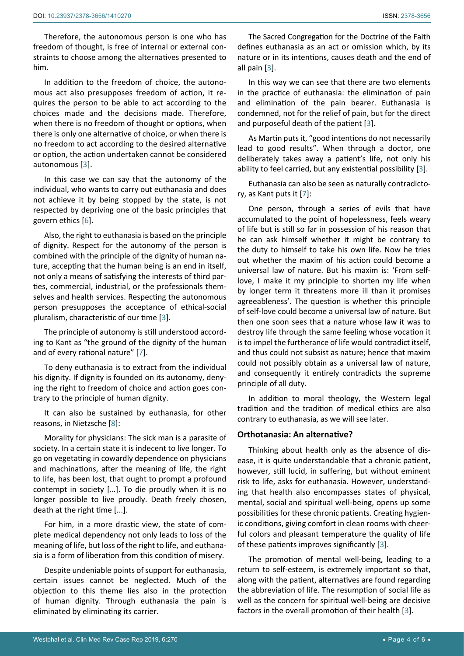him.

Therefore, the autonomous person is one who has freedom of thought, is free of internal or external constraints to choose among the alternatives presented to

In addition to the freedom of choice, the autonomous act also presupposes freedom of action, it requires the person to be able to act according to the choices made and the decisions made. Therefore, when there is no freedom of thought or options, when there is only one alternative of choice, or when there is no freedom to act according to the desired alternative or option, the action undertaken cannot be considered autonomous [\[3](#page-4-1)].

In this case we can say that the autonomy of the individual, who wants to carry out euthanasia and does not achieve it by being stopped by the state, is not respected by depriving one of the basic principles that govern ethics [\[6\]](#page-5-3).

Also, the right to euthanasia is based on the principle of dignity. Respect for the autonomy of the person is combined with the principle of the dignity of human nature, accepting that the human being is an end in itself, not only a means of satisfying the interests of third parties, commercial, industrial, or the professionals themselves and health services. Respecting the autonomous person presupposes the acceptance of ethical-social pluralism, characteristic of our time [[3](#page-4-1)].

The principle of autonomy is still understood according to Kant as "the ground of the dignity of the human and of every rational nature" [[7\]](#page-5-2).

To deny euthanasia is to extract from the individual his dignity. If dignity is founded on its autonomy, denying the right to freedom of choice and action goes contrary to the principle of human dignity.

It can also be sustained by euthanasia, for other reasons, in Nietzsche [\[8](#page-5-4)]:

Morality for physicians: The sick man is a parasite of society. In a certain state it is indecent to live longer. To go on vegetating in cowardly dependence on physicians and machinations, after the meaning of life, the right to life, has been lost, that ought to prompt a profound contempt in society […]. To die proudly when it is no longer possible to live proudly. Death freely chosen, death at the right time [...].

For him, in a more drastic view, the state of complete medical dependency not only leads to loss of the meaning of life, but loss of the right to life, and euthanasia is a form of liberation from this condition of misery.

Despite undeniable points of support for euthanasia, certain issues cannot be neglected. Much of the objection to this theme lies also in the protection of human dignity. Through euthanasia the pain is eliminated by eliminating its carrier.

The Sacred Congregation for the Doctrine of the Faith defines euthanasia as an act or omission which, by its nature or in its intentions, causes death and the end of all pain [[3](#page-4-1)].

In this way we can see that there are two elements in the practice of euthanasia: the elimination of pain and elimination of the pain bearer. Euthanasia is condemned, not for the relief of pain, but for the direct and purposeful death of the patient [[3](#page-4-1)].

As Martin puts it, "good intentions do not necessarily lead to good results". When through a doctor, one deliberately takes away a patient's life, not only his ability to feel carried, but any existential possibility [[3](#page-4-1)].

Euthanasia can also be seen as naturally contradictory, as Kant puts it [[7](#page-5-2)]:

One person, through a series of evils that have accumulated to the point of hopelessness, feels weary of life but is still so far in possession of his reason that he can ask himself whether it might be contrary to the duty to himself to take his own life. Now he tries out whether the maxim of his action could become a universal law of nature. But his maxim is: 'From selflove, I make it my principle to shorten my life when by longer term it threatens more ill than it promises agreeableness'. The question is whether this principle of self-love could become a universal law of nature. But then one soon sees that a nature whose law it was to destroy life through the same feeling whose vocation it is to impel the furtherance of life would contradict itself, and thus could not subsist as nature; hence that maxim could not possibly obtain as a universal law of nature, and consequently it entirely contradicts the supreme principle of all duty.

In addition to moral theology, the Western legal tradition and the tradition of medical ethics are also contrary to euthanasia, as we will see later.

## **Orthotanasia: An alternative?**

Thinking about health only as the absence of disease, it is quite understandable that a chronic patient, however, still lucid, in suffering, but without eminent risk to life, asks for euthanasia. However, understanding that health also encompasses states of physical, mental, social and spiritual well-being, opens up some possibilities for these chronic patients. Creating hygienic conditions, giving comfort in clean rooms with cheerful colors and pleasant temperature the quality of life of these patients improves significantly [[3](#page-4-1)].

The promotion of mental well-being, leading to a return to self-esteem, is extremely important so that, along with the patient, alternatives are found regarding the abbreviation of life. The resumption of social life as well as the concern for spiritual well-being are decisive factors in the overall promotion of their health [[3\]](#page-4-1).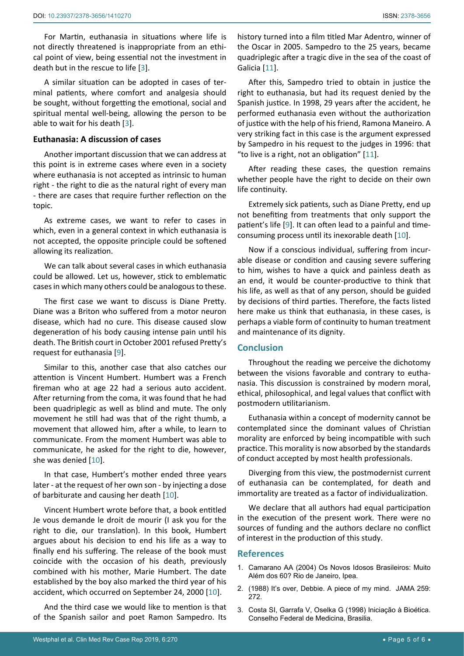For Martin, euthanasia in situations where life is not directly threatened is inappropriate from an ethical point of view, being essential not the investment in death but in the rescue to life [[3](#page-4-1)].

A similar situation can be adopted in cases of terminal patients, where comfort and analgesia should be sought, without forgetting the emotional, social and spiritual mental well-being, allowing the person to be able to wait for his death [\[3\]](#page-4-1).

#### **Euthanasia: A discussion of cases**

Another important discussion that we can address at this point is in extreme cases where even in a society where euthanasia is not accepted as intrinsic to human right - the right to die as the natural right of every man - there are cases that require further reflection on the topic.

As extreme cases, we want to refer to cases in which, even in a general context in which euthanasia is not accepted, the opposite principle could be softened allowing its realization.

We can talk about several cases in which euthanasia could be allowed. Let us, however, stick to emblematic cases in which many others could be analogous to these.

The first case we want to discuss is Diane Pretty. Diane was a Briton who suffered from a motor neuron disease, which had no cure. This disease caused slow degeneration of his body causing intense pain until his death. The British court in October 2001 refused Pretty's request for euthanasia [[9](#page-5-6)].

Similar to this, another case that also catches our attention is Vincent Humbert. Humbert was a French fireman who at age 22 had a serious auto accident. After returning from the coma, it was found that he had been quadriplegic as well as blind and mute. The only movement he still had was that of the right thumb, a movement that allowed him, after a while, to learn to communicate. From the moment Humbert was able to communicate, he asked for the right to die, however, she was denied [\[10](#page-5-7)].

In that case, Humbert's mother ended three years later - at the request of her own son - by injecting a dose of barbiturate and causing her death [\[10](#page-5-7)].

Vincent Humbert wrote before that, a book entitled Je vous demande le droit de mourir (I ask you for the right to die, our translation). In this book, Humbert argues about his decision to end his life as a way to finally end his suffering. The release of the book must coincide with the occasion of his death, previously combined with his mother, Marie Humbert. The date established by the boy also marked the third year of his accident, which occurred on September 24, 2000 [\[10\]](#page-5-7).

And the third case we would like to mention is that of the Spanish sailor and poet Ramon Sampedro. Its

history turned into a film titled Mar Adentro, winner of the Oscar in 2005. Sampedro to the 25 years, became quadriplegic after a tragic dive in the sea of the coast of Galicia [\[11](#page-5-5)].

After this, Sampedro tried to obtain in justice the right to euthanasia, but had its request denied by the Spanish justice. In 1998, 29 years after the accident, he performed euthanasia even without the authorization of justice with the help of his friend, Ramona Maneiro. A very striking fact in this case is the argument expressed by Sampedro in his request to the judges in 1996: that "to live is a right, not an obligation" [[11](#page-5-5)].

After reading these cases, the question remains whether people have the right to decide on their own life continuity.

Extremely sick patients, such as Diane Pretty, end up not benefiting from treatments that only support the patient's life [[9](#page-5-6)]. It can often lead to a painful and timeconsuming process until its inexorable death [[10\]](#page-5-7).

Now if a conscious individual, suffering from incurable disease or condition and causing severe suffering to him, wishes to have a quick and painless death as an end, it would be counter-productive to think that his life, as well as that of any person, should be guided by decisions of third parties. Therefore, the facts listed here make us think that euthanasia, in these cases, is perhaps a viable form of continuity to human treatment and maintenance of its dignity.

## **Conclusion**

Throughout the reading we perceive the dichotomy between the visions favorable and contrary to euthanasia. This discussion is constrained by modern moral, ethical, philosophical, and legal values that conflict with postmodern utilitarianism.

Euthanasia within a concept of modernity cannot be contemplated since the dominant values of Christian morality are enforced by being incompatible with such practice. This morality is now absorbed by the standards of conduct accepted by most health professionals.

Diverging from this view, the postmodernist current of euthanasia can be contemplated, for death and immortality are treated as a factor of individualization.

We declare that all authors had equal participation in the execution of the present work. There were no sources of funding and the authors declare no conflict of interest in the production of this study.

#### **References**

- <span id="page-4-0"></span>1. [Camarano AA \(2004\) Os Novos Idosos Brasileiros: Muito](http://www.ipea.gov.br/portal/index.php?option=com_content&view=article&id=5476)  [Além dos 60? Rio de Janeiro, Ipea.](http://www.ipea.gov.br/portal/index.php?option=com_content&view=article&id=5476)
- <span id="page-4-2"></span>2. [\(1988\) It's over, Debbie. A piece of my mind. JAMA 259:](https://jamanetwork.com/journals/jama/article-abstract/2623992)  [272.](https://jamanetwork.com/journals/jama/article-abstract/2623992)
- <span id="page-4-1"></span>3. [Costa SI, Garrafa V, Oselka G \(1998\) Iniciação à Bioética.](https://portal.cfm.org.br/images/stories/biblioteca/iniciao  biotica.pdf)  [Conselho Federal de Medicina, Brasilia.](https://portal.cfm.org.br/images/stories/biblioteca/iniciao  biotica.pdf)